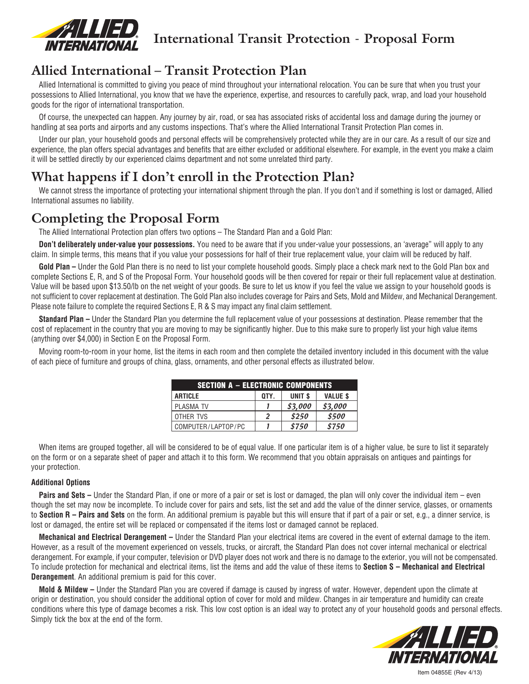

**International Transit Protection - Proposal Form**

# **Allied International – Transit Protection Plan**

Allied International is committed to giving you peace of mind throughout your international relocation. You can be sure that when you trust your possessions to Allied International, you know that we have the experience, expertise, and resources to carefully pack, wrap, and load your household goods for the rigor of international transportation.

Of course, the unexpected can happen. Any journey by air, road, or sea has associated risks of accidental loss and damage during the journey or handling at sea ports and airports and any customs inspections. That's where the Allied International Transit Protection Plan comes in.

Under our plan, your household goods and personal effects will be comprehensively protected while they are in our care. As a result of our size and experience, the plan offers special advantages and benefits that are either excluded or additional elsewhere. For example, in the event you make a claim it will be settled directly by our experienced claims department and not some unrelated third party.

# **What happens if I don't enroll in the Protection Plan?**

We cannot stress the importance of protecting your international shipment through the plan. If you don't and if something is lost or damaged, Allied International assumes no liability.

## **Completing the Proposal Form**

The Allied International Protection plan offers two options – The Standard Plan and a Gold Plan:

**Don't deliberately under-value your possessions.** You need to be aware that if you under-value your possessions, an 'average" will apply to any claim. In simple terms, this means that if you value your possessions for half of their true replacement value, your claim will be reduced by half.

Gold Plan – Under the Gold Plan there is no need to list your complete household goods. Simply place a check mark next to the Gold Plan box and complete Sections E, R, and S of the Proposal Form. Your household goods will be then covered for repair or their full replacement value at destination. Value will be based upon \$13.50/lb on the net weight of your goods. Be sure to let us know if you feel the value we assign to your household goods is not sufficient to cover replacement at destination. The Gold Plan also includes coverage for Pairs and Sets, Mold and Mildew, and Mechanical Derangement. Please note failure to complete the required Sections E, R & S may impact any final claim settlement.

**Standard Plan –** Under the Standard Plan you determine the full replacement value of your possessions at destination. Please remember that the cost of replacement in the country that you are moving to may be significantly higher. Due to this make sure to properly list your high value items (anything over \$4,000) in Section E on the Proposal Form.

Moving room-to-room in your home, list the items in each room and then complete the detailed inventory included in this document with the value of each piece of furniture and groups of china, glass, ornaments, and other personal effects as illustrated below.

| <b>SECTION A - ELECTRONIC COMPONENTS</b> |      |                   |                 |  |  |
|------------------------------------------|------|-------------------|-----------------|--|--|
| <b>ARTICLE</b>                           | OTY. | UNIT <sub>s</sub> | <b>VALUE \$</b> |  |  |
| <b>PLASMA TV</b>                         |      | \$3,000           | \$3,000         |  |  |
| OTHER TVS                                | 2    | \$250             | \$500           |  |  |
| COMPUTER/LAPTOP/PC                       |      | \$750             | \$750           |  |  |

When items are grouped together, all will be considered to be of equal value. If one particular item is of a higher value, be sure to list it separately on the form or on a separate sheet of paper and attach it to this form. We recommend that you obtain appraisals on antiques and paintings for your protection.

### **Additional Options**

**Pairs and Sets** – Under the Standard Plan, if one or more of a pair or set is lost or damaged, the plan will only cover the individual item – even though the set may now be incomplete. To include cover for pairs and sets, list the set and add the value of the dinner service, glasses, or ornaments to **Section R – Pairs and Sets** on the form. An additional premium is payable but this will ensure that if part of a pair or set, e.g., a dinner service, is lost or damaged, the entire set will be replaced or compensated if the items lost or damaged cannot be replaced.

**Mechanical and Electrical Derangement –** Under the Standard Plan your electrical items are covered in the event of external damage to the item. However, as a result of the movement experienced on vessels, trucks, or aircraft, the Standard Plan does not cover internal mechanical or electrical derangement. For example, if your computer, television or DVD player does not work and there is no damage to the exterior, you will not be compensated. To include protection for mechanical and electrical items, list the items and add the value of these items to **Section S – Mechanical and Electrical Derangement**. An additional premium is paid for this cover.

**Mold & Mildew –** Under the Standard Plan you are covered if damage is caused by ingress of water. However, dependent upon the climate at origin or destination, you should consider the additional option of cover for mold and mildew. Changes in air temperature and humidity can create conditions where this type of damage becomes a risk. This low cost option is an ideal way to protect any of your household goods and personal effects. Simply tick the box at the end of the form.



Item 04855E (Rev 4/13)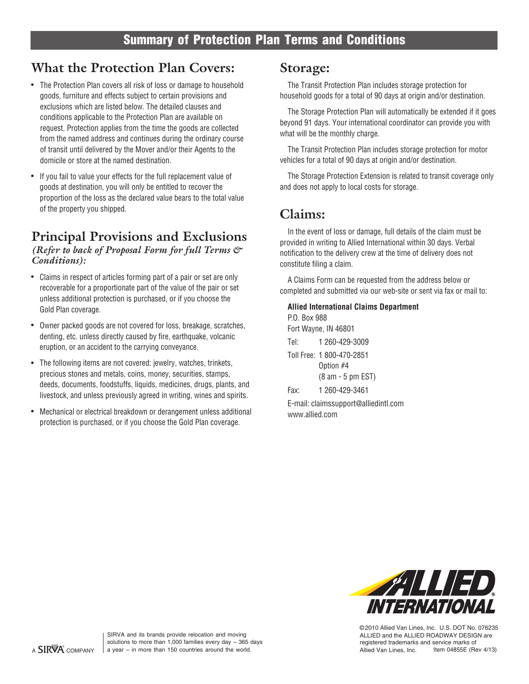# **What the Protection Plan Covers:**

- The Protection Plan covers all risk of loss or damage to household goods, furniture and effects subject to certain provisions and exclusions which are listed below. The detailed clauses and conditions applicable to the Protection Plan are available on request. Protection applies from the time the goods are collected from the named address and continues during the ordinary course of transit until delivered by the Mover and/or their Agents to the domicile or store at the named destination.
- If you fail to value your effects for the full replacement value of goods at destination, you will only be entitled to recover the proportion of the loss as the declared value bears to the total value of the property you shipped.

### *(Refer to back of Proposal Form for full Terms & Conditions):* **Principal Provisions and Exclusions**

- Claims in respect of articles forming part of a pair or set are only recoverable for a proportionate part of the value of the pair or set unless additional protection is purchased, or if you choose the Gold Plan coverage.
- Owner packed goods are not covered for loss, breakage, scratches, denting, etc. unless directly caused by fire, earthquake, volcanic eruption, or an accident to the carrying conveyance.
- The following items are not covered: jewelry, watches, trinkets, precious stones and metals, coins, money, securities, stamps, deeds, documents, foodstuffs, liquids, medicines, drugs, plants, and livestock, and unless previously agreed in writing, wines and spirits.
- Mechanical or electrical breakdown or derangement unless additional protection is purchased, or if you choose the Gold Plan coverage. •

### **Storage:**

The Transit Protection Plan includes storage protection for household goods for a total of 90 days at origin and/or destination.

The Storage Protection Plan will automatically be extended if it goes beyond 91 days. Your international coordinator can provide you with what will be the monthly charge.

The Transit Protection Plan includes storage protection for motor vehicles for a total of 90 days at origin and/or destination.

The Storage Protection Extension is related to transit coverage only and does not apply to local costs for storage.

### **Claims:**

In the event of loss or damage, full details of the claim must be provided in writing to Allied International within 30 days. Verbal notification to the delivery crew at the time of delivery does not constitute filing a claim.

A Claims Form can be requested from the address below or completed and submitted via our web-site or sent via fax or mail to:

### **Allied International Claims Department**

| P.O. Box 988 |                                      |
|--------------|--------------------------------------|
|              | Fort Wayne, IN 46801                 |
| Tel:         | 1 260-429-3009                       |
|              | Toll Free: 1 800-470-2851            |
|              | Option #4                            |
|              | (8 am - 5 pm EST)                    |
| Fax:         | 1 260-429-3461                       |
|              | E-mail: claimssupport@alliedintl.com |
|              |                                      |

www.allied.com



©2010 Allied Van Lines, Inc. U.S. DOT No. 076235 ALLIED and the ALLIED ROADWAY DESIGN are registered trademarks and service marks of Allied Van Lines, Inc.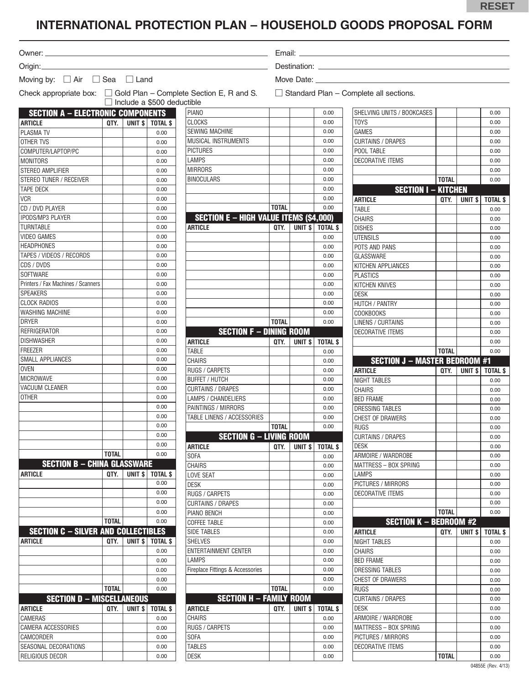## **INTERNATIONAL PROTECTION PLAN – HOUSEHOLD GOODS PROPOSAL FORM**

Owner:

Origin:

Moving by:  $\Box$  Air  $\Box$  Sea  $\Box$  Land

Email: Destination:

Move Date:

Check appropriate box:  $\Box$  Gold Plan – Complete Section E, R and S.  $\Box$  Standard Plan – Complete all sections.  $\Box$  Include a \$500 deductible

| <b>SECTION A - ELECTRONIC COMPONENTS</b>   |              |                   |                 |
|--------------------------------------------|--------------|-------------------|-----------------|
| <b>ARTICLE</b>                             | QTY.         | UNIT \$           | <b>TOTAL \$</b> |
| PLASMA TV                                  |              |                   | 0.00            |
| <b>OTHER TVS</b>                           |              |                   | 0.00            |
| COMPUTER/LAPTOP/PC                         |              |                   | 0.00            |
| <b>MONITORS</b>                            |              |                   | 0.00            |
| STEREO AMPLIFIER                           |              |                   | 0.00            |
| STEREO TUNER / RECEIVER                    |              |                   | 0.00            |
| TAPE DECK                                  |              |                   | 0.00            |
| <b>VCR</b>                                 |              |                   | 0.00            |
| CD / DVD PLAYER                            |              |                   | 0.00            |
| IPODS/MP3 PLAYER                           |              |                   | 0.00            |
| <b>TURNTABLE</b>                           |              |                   | 0.00            |
| <b>VIDEO GAMES</b>                         |              |                   | 0.00            |
| <b>HEADPHONES</b>                          |              |                   | 0.00            |
| TAPES / VIDEOS / RECORDS                   |              |                   | 0.00            |
| CDS / DVDS                                 |              |                   | 0.00            |
| SOFTWARE                                   |              |                   | 0.00            |
| Printers / Fax Machines / Scanners         |              |                   | 0.00            |
| <b>SPEAKERS</b>                            |              |                   |                 |
| <b>CLOCK RADIOS</b>                        |              |                   | 0.00            |
|                                            |              |                   | 0.00            |
| WASHING MACHINE                            |              |                   | 0.00            |
| DRYER                                      |              |                   | 0.00            |
| REFRIGERATOR                               |              |                   | 0.00            |
| <b>DISHWASHER</b>                          |              |                   | 0.00            |
| <b>FREEZER</b>                             |              |                   | 0.00            |
| SMALL APPLIANCES                           |              |                   | 0.00            |
| <b>OVEN</b>                                |              |                   | 0.00            |
| MICROWAVE                                  |              |                   | 0.00            |
| VACUUM CLEANER                             |              |                   | 0.00            |
| OTHER                                      |              |                   | 0.00            |
|                                            |              |                   | 0.00            |
|                                            |              |                   | 0.00            |
|                                            |              |                   | 0.00            |
|                                            |              |                   | 0.00            |
|                                            |              |                   | 0.00            |
|                                            | <b>TOTAL</b> |                   | 0.00            |
| <b>SECTION B - CHINA GLASSWARE</b>         |              |                   |                 |
| ARTICLE                                    | QTY.         | UNIT <sub>s</sub> | TOTAL \$        |
|                                            |              |                   | 0.00            |
|                                            |              |                   | 0.00            |
|                                            |              |                   | 0.00            |
|                                            |              |                   | 0.00            |
|                                            | TOTAL        |                   | 0.00            |
| <b>SECTION C - SILVER AND COLLECTIBLES</b> |              |                   |                 |
| <b>ARTICLE</b>                             | OTY.         | UNIT \$           | <b>TOTAL \$</b> |
|                                            |              |                   | 0.00            |
|                                            |              |                   | 0.00            |
|                                            |              |                   | 0.00            |
|                                            |              |                   | 0.00            |
|                                            | TOTAL        |                   | 0.00            |
| <b>SECTION D - MISCELLANEOUS</b>           |              |                   |                 |
|                                            |              |                   |                 |
| ARTICLE                                    | QTY.         | UNIT <sub>s</sub> | <b>TOTAL \$</b> |
| CAMERAS                                    |              |                   | 0.00            |
| CAMERA ACCESSORIES                         |              |                   | 0.00            |
| CAMCORDER                                  |              |                   | 0.00            |
| SEASONAL DECORATIONS                       |              |                   | 0.00            |
| RELIGIOUS DECOR                            |              |                   | 0.00            |

| <b>PIANO</b>                                  |              |                    | 0.00            | SHELVING UNITS / BOOKCASES           |              |                    | 0.00         |
|-----------------------------------------------|--------------|--------------------|-----------------|--------------------------------------|--------------|--------------------|--------------|
| <b>CLOCKS</b>                                 |              |                    | 0.00            | <b>TOYS</b>                          |              |                    | 0.00         |
| <b>SEWING MACHINE</b>                         |              |                    | 0.00            | <b>GAMES</b>                         |              |                    | 0.00         |
| <b>MUSICAL INSTRUMENTS</b>                    |              |                    | 0.00            | <b>CURTAINS / DRAPES</b>             |              |                    | 0.00         |
| <b>PICTURES</b>                               |              |                    | 0.00            | POOL TABLE                           |              |                    | 0.00         |
| LAMPS                                         |              |                    | 0.00            | <b>DECORATIVE ITEMS</b>              |              |                    | 0.00         |
| <b>MIRRORS</b>                                |              |                    | 0.00            |                                      |              |                    | 0.00         |
| <b>BINOCULARS</b>                             |              |                    | 0.00            |                                      | <b>TOTAL</b> |                    | 0.00         |
|                                               |              |                    | 0.00            | <b>SECTION I - KITCHEN</b>           |              |                    |              |
|                                               |              |                    | 0.00            | <b>ARTICLE</b>                       | QTY.         | UNIT <sub>\$</sub> | <b>TOTAL</b> |
|                                               | <b>TOTAL</b> |                    | 0.00            | <b>TABLE</b>                         |              |                    | 0.00         |
| <b>SECTION E - HIGH VALUE ITEMS (\$4,000)</b> |              |                    |                 | <b>CHAIRS</b>                        |              |                    | 0.00         |
| <b>ARTICLE</b>                                | QTY.         | UNIT <sub>\$</sub> | <b>TOTAL \$</b> | <b>DISHES</b>                        |              |                    | 0.00         |
|                                               |              |                    | 0.00            | <b>UTENSILS</b>                      |              |                    | 0.00         |
|                                               |              |                    | 0.00            | POTS AND PANS                        |              |                    | 0.00         |
|                                               |              |                    | 0.00            | <b>GLASSWARE</b>                     |              |                    | 0.00         |
|                                               |              |                    | 0.00            | KITCHEN APPLIANCES                   |              |                    | 0.00         |
|                                               |              |                    | 0.00            | <b>PLASTICS</b>                      |              |                    | 0.00         |
|                                               |              |                    | 0.00            | <b>KITCHEN KNIVES</b>                |              |                    | 0.00         |
|                                               |              |                    | 0.00            | <b>DESK</b>                          |              |                    | 0.00         |
|                                               |              |                    | 0.00            | <b>HUTCH / PANTRY</b>                |              |                    | 0.00         |
|                                               |              |                    | 0.00            | <b>COOKBOOKS</b>                     |              |                    | 0.00         |
|                                               | <b>TOTAL</b> |                    | 0.00            | <b>LINENS / CURTAINS</b>             |              |                    | 0.00         |
| <b>SECTION F - DINING ROOM</b>                |              |                    |                 | <b>DECORATIVE ITEMS</b>              |              |                    | 0.00         |
| <b>ARTICLE</b>                                | QTY.         | UNIT <sub>\$</sub> | <b>TOTAL \$</b> |                                      |              |                    | 0.00         |
| TABLE                                         |              |                    | 0.00            |                                      | <b>TOTAL</b> |                    | 0.00         |
| <b>CHAIRS</b>                                 |              |                    | 0.00            | <b>SECTION J - MASTER BEDROOM #1</b> |              |                    |              |
| <b>RUGS / CARPETS</b>                         |              |                    | 0.00            | <b>ARTICLE</b>                       | QTY.         | UNIT <sub>s</sub>  | <b>TOTAL</b> |
| <b>BUFFET / HUTCH</b>                         |              |                    | 0.00            | NIGHT TABLES                         |              |                    | 0.00         |
| <b>CURTAINS / DRAPES</b>                      |              |                    | 0.00            | <b>CHAIRS</b>                        |              |                    | 0.00         |
| LAMPS / CHANDELIERS                           |              |                    | 0.00            | <b>BED FRAME</b>                     |              |                    | 0.00         |
| PAINTINGS / MIRRORS                           |              |                    | 0.00            | <b>DRESSING TABLES</b>               |              |                    | 0.00         |
| TABLE LINENS / ACCESSORIES                    |              |                    | 0.00            | CHEST OF DRAWERS                     |              |                    | 0.00         |
|                                               | <b>TOTAL</b> |                    | 0.00            | <b>RUGS</b>                          |              |                    | 0.00         |
| <b>SECTION G - LIVING ROOM</b>                |              |                    |                 | <b>CURTAINS / DRAPES</b>             |              |                    | 0.00         |
| <b>ARTICLE</b>                                | QTY.         | UNIT \$            | <b>TOTAL \$</b> | <b>DESK</b>                          |              |                    | 0.00         |
| <b>SOFA</b>                                   |              |                    | 0.00            | ARMOIRE / WARDROBE                   |              |                    | 0.00         |
| <b>CHAIRS</b>                                 |              |                    | 0.00            | MATTRESS - BOX SPRING                |              |                    | 0.00         |
| <b>LOVE SEAT</b>                              |              |                    | 0.00            | <b>LAMPS</b>                         |              |                    | 0.00         |
| <b>DESK</b>                                   |              |                    | 0.00            | PICTURES / MIRRORS                   |              |                    | 0.00         |
| RUGS / CARPETS                                |              |                    | 0.00            | <b>DECORATIVE ITEMS</b>              |              |                    | 0.00         |
| <b>CURTAINS / DRAPES</b>                      |              |                    | 0.00            |                                      |              |                    | 0.00         |
| PIANO BENCH                                   |              |                    | 0.00            |                                      | TOTAL        |                    | 0.00         |
| <b>COFFEE TABLE</b>                           |              |                    | 0.00            | <b>SECTION K - BEDROOM #2</b>        |              |                    |              |
| <b>SIDE TABLES</b>                            |              |                    | 0.00            | <b>ARTICLE</b>                       | QTY.         | UNIT <sub>s</sub>  | <b>TOTAL</b> |
| <b>SHELVES</b>                                |              |                    | 0.00            | NIGHT TABLES                         |              |                    | 0.00         |
| ENTERTAINMENT CENTER                          |              |                    | 0.00            | <b>CHAIRS</b>                        |              |                    | 0.00         |
| LAMPS                                         |              |                    | 0.00            | <b>BED FRAME</b>                     |              |                    | 0.00         |
| Fireplace Fittings & Accessories              |              |                    | 0.00            | DRESSING TABLES                      |              |                    | 0.00         |
|                                               |              |                    | 0.00            |                                      |              |                    |              |
|                                               | <b>TOTAL</b> |                    |                 | <b>CHEST OF DRAWERS</b>              |              |                    | 0.00         |
|                                               |              |                    | 0.00            | <b>RUGS</b>                          |              |                    | 0.00         |
| <b>SECTION H - FAMILY ROOM</b>                |              |                    |                 | <b>CURTAINS / DRAPES</b>             |              |                    | 0.00         |
| <b>ARTICLE</b>                                | QTY.         | UNIT \$            | TOTAL \$        | <b>DESK</b>                          |              |                    | 0.00         |
| CHAIRS                                        |              |                    | 0.00            | ARMOIRE / WARDROBE                   |              |                    | 0.00         |
| RUGS / CARPETS                                |              |                    | 0.00            | MATTRESS - BOX SPRING                |              |                    | 0.00         |
| SOFA                                          |              |                    | 0.00            | PICTURES / MIRRORS                   |              |                    | 0.00         |
| TABLES                                        |              |                    | 0.00            | <b>DECORATIVE ITEMS</b>              |              |                    | 0.00         |
| <b>DESK</b>                                   |              |                    | 0.00            |                                      | TOTAL        |                    | 0.00         |

| SHELVING UNITS / BOOKCASES                                                                                                                                                                                                                                                                                                                                                                                                                                                                                             |              |                    | 0.00            |
|------------------------------------------------------------------------------------------------------------------------------------------------------------------------------------------------------------------------------------------------------------------------------------------------------------------------------------------------------------------------------------------------------------------------------------------------------------------------------------------------------------------------|--------------|--------------------|-----------------|
| <b>TOYS</b>                                                                                                                                                                                                                                                                                                                                                                                                                                                                                                            |              |                    | 0.00            |
| GAMES                                                                                                                                                                                                                                                                                                                                                                                                                                                                                                                  |              |                    | 0.00            |
| <b>CURTAINS / DRAPES</b>                                                                                                                                                                                                                                                                                                                                                                                                                                                                                               |              |                    | 0.00            |
| POOL TABLE                                                                                                                                                                                                                                                                                                                                                                                                                                                                                                             |              |                    | 0.00            |
| <b>DECORATIVE ITEMS</b>                                                                                                                                                                                                                                                                                                                                                                                                                                                                                                |              |                    | 0.00            |
|                                                                                                                                                                                                                                                                                                                                                                                                                                                                                                                        |              |                    | 0.00            |
|                                                                                                                                                                                                                                                                                                                                                                                                                                                                                                                        | <b>TOTAL</b> |                    | 0.00            |
| <b>SECTION I - KITCHEN</b>                                                                                                                                                                                                                                                                                                                                                                                                                                                                                             |              |                    |                 |
| <b>ARTICLE</b>                                                                                                                                                                                                                                                                                                                                                                                                                                                                                                         | QTY.         | UNIT \$            | <b>TOTAL \$</b> |
| TABLE                                                                                                                                                                                                                                                                                                                                                                                                                                                                                                                  |              |                    | 0.00            |
| <b>CHAIRS</b>                                                                                                                                                                                                                                                                                                                                                                                                                                                                                                          |              |                    | 0.00            |
| <b>DISHES</b>                                                                                                                                                                                                                                                                                                                                                                                                                                                                                                          |              |                    | 0.00            |
| <b>UTENSILS</b>                                                                                                                                                                                                                                                                                                                                                                                                                                                                                                        |              |                    | 0.00            |
| POTS AND PANS                                                                                                                                                                                                                                                                                                                                                                                                                                                                                                          |              |                    | 0.00            |
| GLASSWARE                                                                                                                                                                                                                                                                                                                                                                                                                                                                                                              |              |                    | 0.00            |
| KITCHEN APPLIANCES                                                                                                                                                                                                                                                                                                                                                                                                                                                                                                     |              |                    | 0.00            |
| <b>PLASTICS</b>                                                                                                                                                                                                                                                                                                                                                                                                                                                                                                        |              |                    | 0.00            |
| <b>KITCHEN KNIVES</b>                                                                                                                                                                                                                                                                                                                                                                                                                                                                                                  |              |                    | 0.00            |
| <b>DESK</b>                                                                                                                                                                                                                                                                                                                                                                                                                                                                                                            |              |                    | 0.00            |
| <b>HUTCH / PANTRY</b>                                                                                                                                                                                                                                                                                                                                                                                                                                                                                                  |              |                    | 0.00            |
| <b>COOKBOOKS</b>                                                                                                                                                                                                                                                                                                                                                                                                                                                                                                       |              |                    | 0.00            |
| LINENS / CURTAINS                                                                                                                                                                                                                                                                                                                                                                                                                                                                                                      |              |                    | 0.00            |
| <b>DECORATIVE ITEMS</b>                                                                                                                                                                                                                                                                                                                                                                                                                                                                                                |              |                    |                 |
|                                                                                                                                                                                                                                                                                                                                                                                                                                                                                                                        |              |                    | 0.00            |
|                                                                                                                                                                                                                                                                                                                                                                                                                                                                                                                        | <b>TOTAL</b> |                    | 0.00            |
|                                                                                                                                                                                                                                                                                                                                                                                                                                                                                                                        |              |                    | 0.00            |
| <b>SECTION J - MASTER BEDROOM #1</b>                                                                                                                                                                                                                                                                                                                                                                                                                                                                                   |              |                    |                 |
| <b>ARTICLE</b>                                                                                                                                                                                                                                                                                                                                                                                                                                                                                                         | QTY.         | UNIT \$            | TOTAL \$        |
|                                                                                                                                                                                                                                                                                                                                                                                                                                                                                                                        |              |                    |                 |
|                                                                                                                                                                                                                                                                                                                                                                                                                                                                                                                        |              |                    | 0.00            |
|                                                                                                                                                                                                                                                                                                                                                                                                                                                                                                                        |              |                    | 0.00            |
|                                                                                                                                                                                                                                                                                                                                                                                                                                                                                                                        |              |                    | 0.00            |
|                                                                                                                                                                                                                                                                                                                                                                                                                                                                                                                        |              |                    | 0.00            |
|                                                                                                                                                                                                                                                                                                                                                                                                                                                                                                                        |              |                    | 0.00            |
|                                                                                                                                                                                                                                                                                                                                                                                                                                                                                                                        |              |                    | 0.00            |
|                                                                                                                                                                                                                                                                                                                                                                                                                                                                                                                        |              |                    | 0.00            |
|                                                                                                                                                                                                                                                                                                                                                                                                                                                                                                                        |              |                    | 0.00            |
|                                                                                                                                                                                                                                                                                                                                                                                                                                                                                                                        |              |                    | 0.00            |
|                                                                                                                                                                                                                                                                                                                                                                                                                                                                                                                        |              |                    | 0.00            |
|                                                                                                                                                                                                                                                                                                                                                                                                                                                                                                                        |              |                    | 0.00            |
|                                                                                                                                                                                                                                                                                                                                                                                                                                                                                                                        |              |                    | 0.00            |
|                                                                                                                                                                                                                                                                                                                                                                                                                                                                                                                        |              |                    | 0.00            |
|                                                                                                                                                                                                                                                                                                                                                                                                                                                                                                                        |              |                    | 0.00            |
|                                                                                                                                                                                                                                                                                                                                                                                                                                                                                                                        | <b>TOTAL</b> |                    | 0.00            |
| <b>SECTION K - BEDROOM #2</b>                                                                                                                                                                                                                                                                                                                                                                                                                                                                                          |              |                    |                 |
|                                                                                                                                                                                                                                                                                                                                                                                                                                                                                                                        | QTY.         | UNIT <sub>\$</sub> | TOTAL \$        |
|                                                                                                                                                                                                                                                                                                                                                                                                                                                                                                                        |              |                    | 0.00            |
|                                                                                                                                                                                                                                                                                                                                                                                                                                                                                                                        |              |                    | 0.00            |
|                                                                                                                                                                                                                                                                                                                                                                                                                                                                                                                        |              |                    | 0.00            |
|                                                                                                                                                                                                                                                                                                                                                                                                                                                                                                                        |              |                    | 0.00            |
|                                                                                                                                                                                                                                                                                                                                                                                                                                                                                                                        |              |                    | 0.00            |
|                                                                                                                                                                                                                                                                                                                                                                                                                                                                                                                        |              |                    | 0.00            |
|                                                                                                                                                                                                                                                                                                                                                                                                                                                                                                                        |              |                    | 0.00            |
|                                                                                                                                                                                                                                                                                                                                                                                                                                                                                                                        |              |                    | 0.00            |
|                                                                                                                                                                                                                                                                                                                                                                                                                                                                                                                        |              |                    | 0.00            |
|                                                                                                                                                                                                                                                                                                                                                                                                                                                                                                                        |              |                    | 0.00            |
| NIGHT TABLES<br>CHAIRS<br><b>BED FRAME</b><br>DRESSING TABLES<br><b>CHEST OF DRAWERS</b><br><b>RUGS</b><br><b>CURTAINS / DRAPES</b><br><b>DESK</b><br>ARMOIRE / WARDROBE<br>MATTRESS - BOX SPRING<br><b>LAMPS</b><br>PICTURES / MIRRORS<br><b>DECORATIVE ITEMS</b><br>ARTICLE<br>NIGHT TABLES<br><b>CHAIRS</b><br><b>BED FRAME</b><br><b>DRESSING TABLES</b><br><b>CHEST OF DRAWERS</b><br><b>RUGS</b><br><b>CURTAINS / DRAPES</b><br><b>DESK</b><br>ARMOIRE / WARDROBE<br>MATTRESS - BOX SPRING<br>PICTURES / MIRRORS |              |                    | 0.00            |
| <b>DECORATIVE ITEMS</b>                                                                                                                                                                                                                                                                                                                                                                                                                                                                                                |              |                    | 0.00            |
|                                                                                                                                                                                                                                                                                                                                                                                                                                                                                                                        | TOTAL        |                    | 0.00            |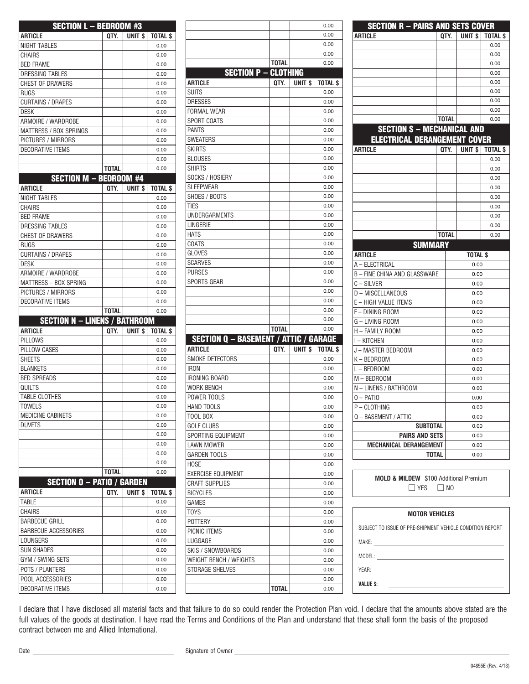| <b>SECTION L - BEDROOM #3</b>        |              |                    |                 |
|--------------------------------------|--------------|--------------------|-----------------|
| ARTICLE                              | QTY.         | UNIT \$            | <b>TOTAL \$</b> |
| NIGHT TABLES                         |              |                    | 0.00            |
| CHAIRS                               |              |                    | 0.00            |
| <b>BED FRAME</b>                     |              |                    | 0.00            |
| <b>DRESSING TABLES</b>               |              |                    | 0.00            |
| CHEST OF DRAWERS                     |              |                    | 0.00            |
| RUGS                                 |              |                    | 0.00            |
| CURTAINS / DRAPES                    |              |                    | 0.00            |
| <b>DESK</b>                          |              |                    | 0.00            |
| ARMOIRE / WARDROBE                   |              |                    | 0.00            |
| MATTRESS / BOX SPRINGS               |              |                    | 0.00            |
| PICTURES / MIRRORS                   |              |                    | 0.00            |
| DECORATIVE ITEMS                     |              |                    | 0.00            |
|                                      |              |                    | 0.00            |
|                                      | <b>TOTAL</b> |                    | 0.00            |
| <b>SECTION M - BEDROOM #4</b>        |              |                    |                 |
| ARTICLE                              | OTY.         | UNIT <sub>\$</sub> | <b>TOTAL \$</b> |
| <b>NIGHT TABLES</b>                  |              |                    | 0.00            |
| CHAIRS                               |              |                    | 0.00            |
| <b>BED FRAME</b>                     |              |                    | 0.00            |
| <b>DRESSING TABLES</b>               |              |                    | 0.00            |
| CHEST OF DRAWERS                     |              |                    | 0.00            |
| <b>RUGS</b>                          |              |                    | 0.00            |
| CURTAINS / DRAPES                    |              |                    | 0.00            |
| <b>DESK</b>                          |              |                    | 0.00            |
| ARMOIRE / WARDROBE                   |              |                    | 0.00            |
| MATTRESS - BOX SPRING                |              |                    | 0.00            |
| PICTURES / MIRRORS                   |              |                    | 0.00            |
|                                      |              |                    |                 |
| <b>DECORATIVE ITEMS</b>              |              |                    | 0.00            |
|                                      | <b>TOTAL</b> |                    | 0.00            |
| <b>SECTION N - LINENS / BATHROOM</b> |              |                    |                 |
| ARTICLE                              | QTY.         | UNIT \$            | TOTAL \$        |
| PILLOWS                              |              |                    | 0.00            |
| PILLOW CASES                         |              |                    | 0.00            |
| <b>SHEETS</b>                        |              |                    | 0.00            |
| <b>BLANKETS</b>                      |              |                    | 0.00            |
| <b>BED SPREADS</b>                   |              |                    | 0.00            |
| QUILTS                               |              |                    | 0.00            |
| <b>TABLE CLOTHES</b>                 |              |                    | 0.00            |
| <b>TOWELS</b>                        |              |                    | 0.00            |
| MEDICINE CABINETS                    |              |                    | 0.00            |
| DUVETS                               |              |                    | 0.00            |
|                                      |              |                    | 0.00            |
|                                      |              |                    | 0.00            |
|                                      |              |                    | 0.00            |
|                                      |              |                    | 0.00            |
|                                      | TOTAL        |                    | 0.00            |
| <b>SECTION O - PATIO / GARDEN</b>    |              |                    |                 |
| ARTICLE                              | QTY.         | UNIT \$            | TOTAL \$        |
| TABLE                                |              |                    | 0.00            |
| CHAIRS                               |              |                    | 0.00            |
| BARBECUE GRILL                       |              |                    | 0.00            |
| BARBECUE ACCESSORIES                 |              |                    | 0.00            |
| LOUNGERS                             |              |                    | 0.00            |
| <b>SUN SHADES</b>                    |              |                    | 0.00            |
| GYM / SWING SETS                     |              |                    | 0.00            |
| POTS / PLANTERS                      |              |                    | 0.00            |
| POOL ACCESSORIES                     |              |                    | 0.00            |

|                                              |              |                   | 0.00            | <b>SECTION R - PAIRS AND SETS COVER</b>                                                                                                                                                                                             |              |                    |              |
|----------------------------------------------|--------------|-------------------|-----------------|-------------------------------------------------------------------------------------------------------------------------------------------------------------------------------------------------------------------------------------|--------------|--------------------|--------------|
|                                              |              |                   | 0.00            | <b>ARTICLE</b>                                                                                                                                                                                                                      | QTY.         | UNIT <sub>\$</sub> | <b>TOTAL</b> |
|                                              |              |                   | 0.00            |                                                                                                                                                                                                                                     |              |                    | 0.00         |
|                                              |              |                   | 0.00            |                                                                                                                                                                                                                                     |              |                    | 0.00         |
|                                              | <b>TOTAL</b> |                   | 0.00            |                                                                                                                                                                                                                                     |              |                    | 0.00         |
| <b>SECTION P - CLOTHING</b>                  |              |                   |                 |                                                                                                                                                                                                                                     |              |                    | 0.00         |
| ARTICLE                                      | QTY.         | UNIT <sub>s</sub> | <b>TOTAL \$</b> |                                                                                                                                                                                                                                     |              |                    | 0.00         |
| <b>SUITS</b>                                 |              |                   | 0.00            |                                                                                                                                                                                                                                     |              |                    | 0.00         |
| <b>DRESSES</b>                               |              |                   | 0.00            |                                                                                                                                                                                                                                     |              |                    | 0.00         |
| <b>FORMAL WEAR</b>                           |              |                   | 0.00            |                                                                                                                                                                                                                                     |              |                    | 0.00         |
| SPORT COATS                                  |              |                   | 0.00            |                                                                                                                                                                                                                                     | <b>TOTAL</b> |                    | 0.00         |
| <b>PANTS</b>                                 |              |                   | 0.00            | <b>SECTION S - MECHANICAL AND</b>                                                                                                                                                                                                   |              |                    |              |
| <b>SWEATERS</b>                              |              |                   | 0.00            | <b>ELECTRICAL DERANGEMENT COVER</b>                                                                                                                                                                                                 |              |                    |              |
| <b>SKIRTS</b>                                |              |                   | 0.00            | <b>ARTICLE</b>                                                                                                                                                                                                                      | QTY.         | UNIT <sub>\$</sub> | <b>TOTAL</b> |
| <b>BLOUSES</b>                               |              |                   | 0.00            |                                                                                                                                                                                                                                     |              |                    | 0.00         |
| <b>SHIRTS</b>                                |              |                   | 0.00            |                                                                                                                                                                                                                                     |              |                    | 0.00         |
| SOCKS / HOSIERY                              |              |                   | 0.00            |                                                                                                                                                                                                                                     |              |                    | 0.00         |
| <b>SLEEPWEAR</b>                             |              |                   | 0.00            |                                                                                                                                                                                                                                     |              |                    | 0.00         |
| SHOES / BOOTS                                |              |                   | 0.00            |                                                                                                                                                                                                                                     |              |                    | 0.00         |
| <b>TIES</b>                                  |              |                   | 0.00            |                                                                                                                                                                                                                                     |              |                    | 0.00         |
| UNDERGARMENTS                                |              |                   | 0.00            |                                                                                                                                                                                                                                     |              |                    | 0.00         |
| LINGERIE                                     |              |                   | 0.00            |                                                                                                                                                                                                                                     |              |                    | 0.00         |
| <b>HATS</b>                                  |              |                   | 0.00            |                                                                                                                                                                                                                                     | <b>TOTAL</b> |                    | 0.00         |
| COATS                                        |              |                   | 0.00            | <b>SUMMARY</b>                                                                                                                                                                                                                      |              |                    |              |
| <b>GLOVES</b>                                |              |                   | 0.00            | <b>ARTICLE</b>                                                                                                                                                                                                                      |              | <b>TOTAL \$</b>    |              |
| <b>SCARVES</b><br><b>PURSES</b>              |              |                   | 0.00<br>0.00    | A - ELECTRICAL                                                                                                                                                                                                                      |              | 0.00               |              |
| <b>SPORTS GEAR</b>                           |              |                   | 0.00            | B - FINE CHINA AND GLASSWARE                                                                                                                                                                                                        |              | 0.00               |              |
|                                              |              |                   | 0.00            | $C - SILVER$                                                                                                                                                                                                                        |              | 0.00               |              |
|                                              |              |                   | 0.00            | D - MISCELLANEOUS                                                                                                                                                                                                                   |              | 0.00               |              |
|                                              |              |                   | 0.00            | E - HIGH VALUE ITEMS                                                                                                                                                                                                                |              | 0.00               |              |
|                                              |              |                   | 0.00            | F - DINING ROOM                                                                                                                                                                                                                     |              | 0.00               |              |
|                                              | <b>TOTAL</b> |                   | 0.00            | G - LIVING ROOM                                                                                                                                                                                                                     |              | 0.00               |              |
| <b>SECTION Q - BASEMENT / ATTIC / GARAGE</b> |              |                   |                 | H - FAMILY ROOM                                                                                                                                                                                                                     |              | 0.00               |              |
| <b>ARTICLE</b>                               | QTY.         | UNIT <sub>s</sub> | <b>TOTAL \$</b> | I-KITCHEN                                                                                                                                                                                                                           |              | 0.00               |              |
| SMOKE DETECTORS                              |              |                   | 0.00            | J - MASTER BEDROOM                                                                                                                                                                                                                  |              | 0.00               |              |
| <b>IRON</b>                                  |              |                   | 0.00            | K-BEDROOM                                                                                                                                                                                                                           |              | 0.00               |              |
| IRONING BOARD                                |              |                   | 0.00            | L-BEDROOM                                                                                                                                                                                                                           |              | 0.00               |              |
| WORK BENCH                                   |              |                   | 0.00            | M - BEDROOM                                                                                                                                                                                                                         |              | 0.00               |              |
| POWER TOOLS                                  |              |                   | 0.00            | - LINENS / BATHROOM<br>N<br>$0 -$ PATIO                                                                                                                                                                                             |              | 0.00               |              |
|                                              |              |                   |                 |                                                                                                                                                                                                                                     |              | 0.00               |              |
| HAND TOOLS                                   |              |                   | 0.00            | P-CLOTHING                                                                                                                                                                                                                          |              | 0.00               |              |
| TOOL BOX                                     |              |                   | 0.00            | Q - BASEMENT / ATTIC                                                                                                                                                                                                                |              | 0.00               |              |
| <b>GOLF CLUBS</b>                            |              |                   | 0.00            | <b>SUBTOTAL</b>                                                                                                                                                                                                                     |              | 0.00               |              |
| SPORTING EQUIPMENT                           |              |                   | 0.00            | <b>PAIRS AND SETS</b>                                                                                                                                                                                                               |              | 0.00               |              |
| LAWN MOWER                                   |              |                   | 0.00            | MECHANICAL DERANGEMENT                                                                                                                                                                                                              |              | 0.00               |              |
| <b>GARDEN TOOLS</b>                          |              |                   | 0.00            | <b>TOTAL</b>                                                                                                                                                                                                                        |              | 0.00               |              |
| <b>HOSE</b>                                  |              |                   | 0.00            |                                                                                                                                                                                                                                     |              |                    |              |
| <b>EXERCISE EQUIPMENT</b>                    |              |                   | 0.00            | <b>MOLD &amp; MILDEW</b> \$100 Additional Premium                                                                                                                                                                                   |              |                    |              |
| <b>CRAFT SUPPLIES</b>                        |              |                   | 0.00            | $\Box$ YES $\Box$ NO                                                                                                                                                                                                                |              |                    |              |
| <b>BICYCLES</b>                              |              |                   | 0.00            |                                                                                                                                                                                                                                     |              |                    |              |
| GAMES                                        |              |                   | 0.00            |                                                                                                                                                                                                                                     |              |                    |              |
| <b>TOYS</b>                                  |              |                   | 0.00            | <b>MOTOR VEHICLES</b>                                                                                                                                                                                                               |              |                    |              |
| <b>POTTERY</b>                               |              |                   | 0.00            | SUBJECT TO ISSUE OF PRE-SHIPMENT VEHICLE CONDITION REPORT                                                                                                                                                                           |              |                    |              |
| PICNIC ITEMS                                 |              |                   | 0.00            |                                                                                                                                                                                                                                     |              |                    |              |
| LUGGAGE                                      |              |                   | 0.00            | MAKE:                                                                                                                                                                                                                               |              |                    |              |
| SKIS / SNOWBOARDS                            |              |                   | 0.00            |                                                                                                                                                                                                                                     |              |                    |              |
| WEIGHT BENCH / WEIGHTS                       |              |                   | 0.00            |                                                                                                                                                                                                                                     |              |                    |              |
| STORAGE SHELVES                              |              |                   | 0.00            | <b>YEAR:</b> The contract of the contract of the contract of the contract of the contract of the contract of the contract of the contract of the contract of the contract of the contract of the contract of the contract of the co |              |                    |              |
|                                              |              |                   | 0.00            | VALUE \$:                                                                                                                                                                                                                           |              |                    |              |
|                                              | TOTAL        |                   | 0.00            |                                                                                                                                                                                                                                     |              |                    |              |

| <b>SECTION R - PAIRS AND SETS COVER</b>                                   |              |      |                    |                 |
|---------------------------------------------------------------------------|--------------|------|--------------------|-----------------|
| <b>ARTICLE</b>                                                            |              | QTY. | UNIT <sub>\$</sub> | <b>TOTAL \$</b> |
|                                                                           |              |      |                    | 0.00            |
|                                                                           |              |      |                    | 0.00            |
|                                                                           |              |      |                    | 0.00            |
|                                                                           |              |      |                    | 0.00            |
|                                                                           |              |      |                    | 0.00            |
|                                                                           |              |      |                    | 0.00            |
|                                                                           |              |      |                    | 0.00            |
|                                                                           |              |      |                    | 0.00            |
|                                                                           | <b>TOTAL</b> |      |                    | 0.00            |
| <b>SECTION S - MECHANICAL AND</b>                                         |              |      |                    |                 |
| <b>ELECTRICAL DERANGEMENT COVER</b>                                       |              |      |                    |                 |
| ARTICLE                                                                   | QTY.         |      | UNIT <sub>\$</sub> | <b>TOTAL \$</b> |
|                                                                           |              |      |                    | 0.00            |
|                                                                           |              |      |                    | 0.00            |
|                                                                           |              |      |                    | 0.00            |
|                                                                           |              |      |                    | 0.00            |
|                                                                           |              |      |                    | 0.00            |
|                                                                           |              |      |                    | 0.00            |
|                                                                           |              |      |                    | 0.00            |
|                                                                           |              |      |                    | 0.00            |
|                                                                           | <b>TOTAL</b> |      |                    | 0.00            |
| <b>SUMMARY</b>                                                            |              |      |                    |                 |
| <b>ARTICLE</b>                                                            |              |      | <b>TOTAL \$</b>    |                 |
| A - ELECTRICAL                                                            |              |      | 0.00               |                 |
| <b>B - FINE CHINA AND GLASSWARE</b>                                       |              |      | 0.00               |                 |
| C-SILVER                                                                  |              |      | 0.00               |                 |
| D - MISCELLANEOUS                                                         |              |      | 0.00               |                 |
| E - HIGH VALUE ITEMS                                                      |              |      | 0.00               |                 |
| F-DINING ROOM                                                             |              |      | 0.00               |                 |
| G – LIVING ROOM                                                           | 0.00         |      |                    |                 |
| H - FAMILY ROOM                                                           |              |      | 0.00               |                 |
| I-KITCHEN                                                                 |              |      | 0.00               |                 |
| J – MASTER BEDROOM                                                        |              |      | 0.00               |                 |
| K – BEDROOM                                                               |              |      | 0.00               |                 |
| $L - BED$ ROOM                                                            |              |      | 0.00               |                 |
| M-BEDROOM                                                                 |              |      | 0.00               |                 |
| N - LINENS / BATHROOM                                                     |              |      | 0.00               |                 |
| $0 -$ PATIO                                                               |              |      | 0.00               |                 |
| P – CLOTHING                                                              |              |      | 0.00               |                 |
| Q - BASEMENT / ATTIC                                                      |              |      | 0.00               |                 |
| <b>SUBTOTAL</b>                                                           |              |      | 0.00               |                 |
| PAIRS AND SETS                                                            |              |      | 0.00               |                 |
| <b>MECHANICAL DERANGEMENT</b>                                             |              |      | 0.00               |                 |
| <b>TOTAL</b>                                                              |              |      | 0.00               |                 |
|                                                                           |              |      |                    |                 |
| <b>MOLD &amp; MILDEW</b> \$100 Additional Premium<br>$\Box$ YES $\Box$ NO |              |      |                    |                 |
|                                                                           |              |      |                    |                 |
| <b>MOTOR VEHICLES</b>                                                     |              |      |                    |                 |
| SUBJECT TO ISSUE OF PRE-SHIPMENT VEHICLE CONDITION REPORT                 |              |      |                    |                 |

I declare that I have disclosed all material facts and that failure to do so could render the Protection Plan void. I declare that the amounts above stated are the full values of the goods at destination. I have read the Terms and Conditions of the Plan and understand that these shall form the basis of the proposed contract between me and Allied International.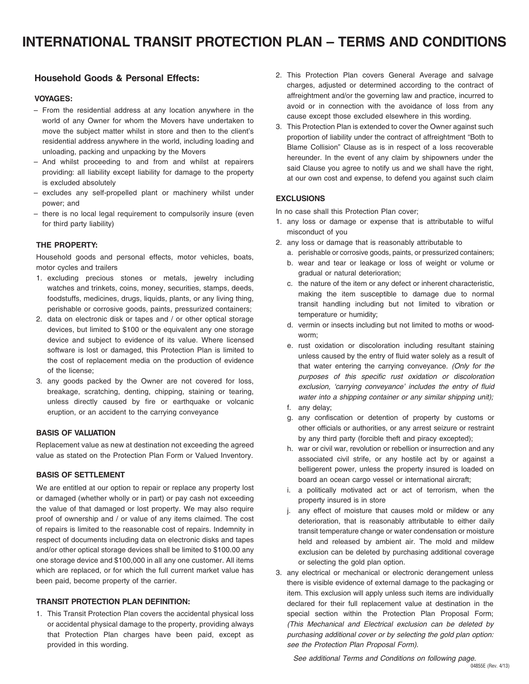### **Household Goods & Personal Effects:**

#### **VOYAGES:**

- From the residential address at any location anywhere in the world of any Owner for whom the Movers have undertaken to move the subject matter whilst in store and then to the client's residential address anywhere in the world, including loading and unloading, packing and unpacking by the Movers
- And whilst proceeding to and from and whilst at repairers providing: all liability except liability for damage to the property is excluded absolutely
- excludes any self-propelled plant or machinery whilst under power; and
- there is no local legal requirement to compulsorily insure (even for third party liability)

#### **THE PROPERTY:**

Household goods and personal effects, motor vehicles, boats, motor cycles and trailers

- 1. excluding precious stones or metals, jewelry including watches and trinkets, coins, money, securities, stamps, deeds, foodstuffs, medicines, drugs, liquids, plants, or any living thing, perishable or corrosive goods, paints, pressurized containers;
- 2. data on electronic disk or tapes and / or other optical storage devices, but limited to \$100 or the equivalent any one storage device and subject to evidence of its value. Where licensed software is lost or damaged, this Protection Plan is limited to the cost of replacement media on the production of evidence of the license;
- 3. any goods packed by the Owner are not covered for loss, breakage, scratching, denting, chipping, staining or tearing, unless directly caused by fire or earthquake or volcanic eruption, or an accident to the carrying conveyance

#### **BASIS OF VALUATION**

Replacement value as new at destination not exceeding the agreed value as stated on the Protection Plan Form or Valued Inventory.

#### **BASIS OF SETTLEMENT**

We are entitled at our option to repair or replace any property lost or damaged (whether wholly or in part) or pay cash not exceeding the value of that damaged or lost property. We may also require proof of ownership and / or value of any items claimed. The cost of repairs is limited to the reasonable cost of repairs. Indemnity in respect of documents including data on electronic disks and tapes and/or other optical storage devices shall be limited to \$100.00 any one storage device and \$100,000 in all any one customer. All items which are replaced, or for which the full current market value has been paid, become property of the carrier.

#### **TRANSIT PROTECTION PLAN DEFINITION:**

1. This Transit Protection Plan covers the accidental physical loss or accidental physical damage to the property, providing always that Protection Plan charges have been paid, except as provided in this wording.

- 2. This Protection Plan covers General Average and salvage charges, adjusted or determined according to the contract of affreightment and/or the governing law and practice, incurred to avoid or in connection with the avoidance of loss from any cause except those excluded elsewhere in this wording.
- 3. This Protection Plan is extended to cover the Owner against such proportion of liability under the contract of affreightment "Both to Blame Collision" Clause as is in respect of a loss recoverable hereunder. In the event of any claim by shipowners under the said Clause you agree to notify us and we shall have the right, at our own cost and expense, to defend you against such claim

#### **EXCLUSIONS**

In no case shall this Protection Plan cover;

- 1. any loss or damage or expense that is attributable to wilful misconduct of you
- 2. any loss or damage that is reasonably attributable to
	- a. perishable or corrosive goods, paints, or pressurized containers;
	- b. wear and tear or leakage or loss of weight or volume or gradual or natural deterioration;
	- c. the nature of the item or any defect or inherent characteristic, making the item susceptible to damage due to normal transit handling including but not limited to vibration or temperature or humidity;
	- d. vermin or insects including but not limited to moths or woodworm;
	- e. rust oxidation or discoloration including resultant staining unless caused by the entry of fluid water solely as a result of that water entering the carrying conveyance. (Only for the purposes of this specific rust oxidation or discoloration exclusion, 'carrying conveyance' includes the entry of fluid water into a shipping container or any similar shipping unit);
	- f. any delay;
	- g. any confiscation or detention of property by customs or other officials or authorities, or any arrest seizure or restraint by any third party (forcible theft and piracy excepted);
	- h. war or civil war, revolution or rebellion or insurrection and any associated civil strife, or any hostile act by or against a belligerent power, unless the property insured is loaded on board an ocean cargo vessel or international aircraft;
	- i. a politically motivated act or act of terrorism, when the property insured is in store
	- j. any effect of moisture that causes mold or mildew or any deterioration, that is reasonably attributable to either daily transit temperature change or water condensation or moisture held and released by ambient air. The mold and mildew exclusion can be deleted by purchasing additional coverage or selecting the gold plan option.
- 3. any electrical or mechanical or electronic derangement unless there is visible evidence of external damage to the packaging or item. This exclusion will apply unless such items are individually declared for their full replacement value at destination in the special section within the Protection Plan Proposal Form; (This Mechanical and Electrical exclusion can be deleted by purchasing additional cover or by selecting the gold plan option: see the Protection Plan Proposal Form).

See additional Terms and Conditions on following page.